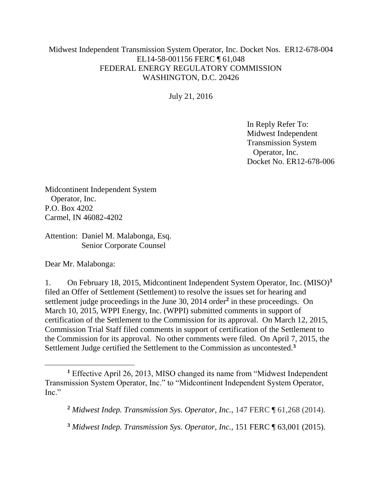## Midwest Independent Transmission System Operator, Inc. Docket Nos. ER12-678-004 EL14-58-001156 FERC ¶ 61,048 FEDERAL ENERGY REGULATORY COMMISSION WASHINGTON, D.C. 20426

July 21, 2016

In Reply Refer To: Midwest Independent Transmission System Operator, Inc. Docket No. ER12-678-006

Midcontinent Independent System Operator, Inc. P.O. Box 4202 Carmel, IN 46082-4202

Attention: Daniel M. Malabonga, Esq. Senior Corporate Counsel

Dear Mr. Malabonga:

1. On February 18, 2015, Midcontinent Independent System Operator, Inc. (MISO)**<sup>1</sup>** filed an Offer of Settlement (Settlement) to resolve the issues set for hearing and settlement judge proceedings in the June 30, 2014 order**<sup>2</sup>** in these proceedings. On March 10, 2015, WPPI Energy, Inc. (WPPI) submitted comments in support of certification of the Settlement to the Commission for its approval. On March 12, 2015, Commission Trial Staff filed comments in support of certification of the Settlement to the Commission for its approval. No other comments were filed. On April 7, 2015, the Settlement Judge certified the Settlement to the Commission as uncontested.**<sup>3</sup>**

**<sup>1</sup>** Effective April 26, 2013, MISO changed its name from "Midwest Independent Transmission System Operator, Inc." to "Midcontinent Independent System Operator, Inc."

**<sup>2</sup>** *Midwest Indep. Transmission Sys. Operator, Inc.*, 147 FERC ¶ 61,268 (2014).

**<sup>3</sup>** *Midwest Indep. Transmission Sys. Operator, Inc.,* 151 FERC ¶ 63,001 (2015).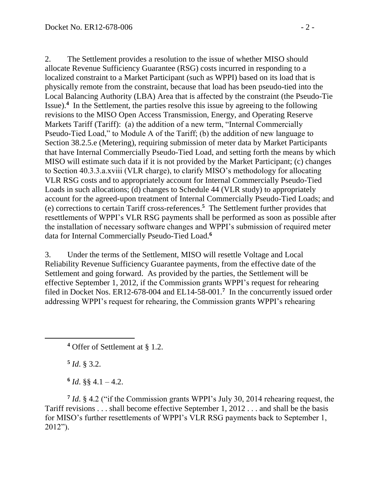2. The Settlement provides a resolution to the issue of whether MISO should allocate Revenue Sufficiency Guarantee (RSG) costs incurred in responding to a localized constraint to a Market Participant (such as WPPI) based on its load that is physically remote from the constraint, because that load has been pseudo-tied into the Local Balancing Authority (LBA) Area that is affected by the constraint (the Pseudo-Tie Issue).**<sup>4</sup>** In the Settlement, the parties resolve this issue by agreeing to the following revisions to the MISO Open Access Transmission, Energy, and Operating Reserve Markets Tariff (Tariff): (a) the addition of a new term, "Internal Commercially Pseudo-Tied Load," to Module A of the Tariff; (b) the addition of new language to Section 38.2.5.e (Metering), requiring submission of meter data by Market Participants that have Internal Commercially Pseudo-Tied Load, and setting forth the means by which MISO will estimate such data if it is not provided by the Market Participant; (c) changes to Section 40.3.3.a.xviii (VLR charge), to clarify MISO's methodology for allocating VLR RSG costs and to appropriately account for Internal Commercially Pseudo-Tied Loads in such allocations; (d) changes to Schedule 44 (VLR study) to appropriately account for the agreed-upon treatment of Internal Commercially Pseudo-Tied Loads; and (e) corrections to certain Tariff cross-references.**<sup>5</sup>** The Settlement further provides that resettlements of WPPI's VLR RSG payments shall be performed as soon as possible after the installation of necessary software changes and WPPI's submission of required meter data for Internal Commercially Pseudo-Tied Load.**<sup>6</sup>**

3. Under the terms of the Settlement, MISO will resettle Voltage and Local Reliability Revenue Sufficiency Guarantee payments, from the effective date of the Settlement and going forward. As provided by the parties, the Settlement will be effective September 1, 2012, if the Commission grants WPPI's request for rehearing filed in Docket Nos. ER12-678-004 and EL14-58-001.**<sup>7</sup>** In the concurrently issued order addressing WPPI's request for rehearing, the Commission grants WPPI's rehearing

**5** *Id*. § 3.2.

 $6$  *Id.* §§ 4.1 – 4.2.

**7** *Id*. § 4.2 ("if the Commission grants WPPI's July 30, 2014 rehearing request, the Tariff revisions . . . shall become effective September 1, 2012 . . . and shall be the basis for MISO's further resettlements of WPPI's VLR RSG payments back to September 1, 2012").

**<sup>4</sup>** Offer of Settlement at § 1.2.